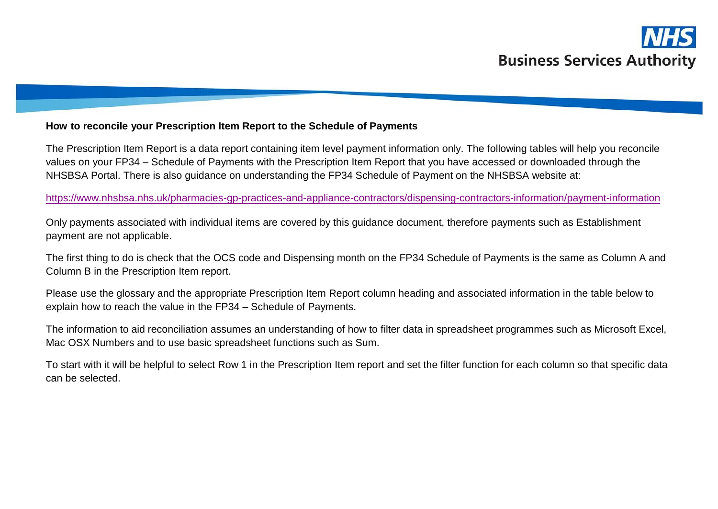

## **How to reconcile your Prescription Item Report to the Schedule of Payments**

The Prescription Item Report is a data report containing item level payment information only. The following tables will help you reconcile values on your FP34 – Schedule of Payments with the Prescription Item Report that you have accessed or downloaded through the NHSBSA Portal. There is also guidance on understanding the FP34 Schedule of Payment on the NHSBSA website at:

<https://www.nhsbsa.nhs.uk/pharmacies-gp-practices-and-appliance-contractors/dispensing-contractors-information/payment-information>

Only payments associated with individual items are covered by this guidance document, therefore payments such as Establishment payment are not applicable.

The first thing to do is check that the OCS code and Dispensing month on the FP34 Schedule of Payments is the same as Column A and Column B in the Prescription Item report.

Please use the glossary and the appropriate Prescription Item Report column heading and associated information in the table below to explain how to reach the value in the FP34 – Schedule of Payments.

The information to aid reconciliation assumes an understanding of how to filter data in spreadsheet programmes such as Microsoft Excel, Mac OSX Numbers and to use basic spreadsheet functions such as Sum.

To start with it will be helpful to select Row 1 in the Prescription Item report and set the filter function for each column so that specific data can be selected.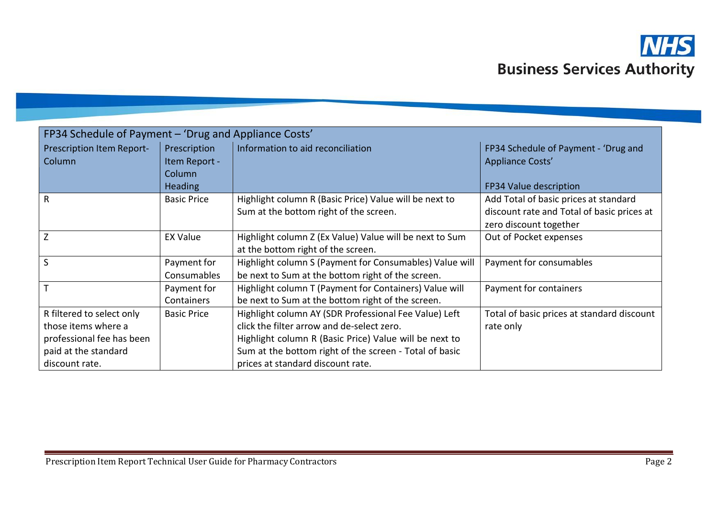

| FP34 Schedule of Payment – 'Drug and Appliance Costs'                                                                   |                                         |                                                                                                                                                                                                                                                              |                                                                                                                                         |
|-------------------------------------------------------------------------------------------------------------------------|-----------------------------------------|--------------------------------------------------------------------------------------------------------------------------------------------------------------------------------------------------------------------------------------------------------------|-----------------------------------------------------------------------------------------------------------------------------------------|
| Prescription Item Report-<br><b>Column</b>                                                                              | Prescription<br>Item Report -<br>Column | Information to aid reconciliation                                                                                                                                                                                                                            | FP34 Schedule of Payment - 'Drug and<br><b>Appliance Costs'</b>                                                                         |
| $\mathsf{R}$                                                                                                            | <b>Heading</b><br><b>Basic Price</b>    | Highlight column R (Basic Price) Value will be next to<br>Sum at the bottom right of the screen.                                                                                                                                                             | FP34 Value description<br>Add Total of basic prices at standard<br>discount rate and Total of basic prices at<br>zero discount together |
| Z                                                                                                                       | <b>EX Value</b>                         | Highlight column Z (Ex Value) Value will be next to Sum<br>at the bottom right of the screen.                                                                                                                                                                | Out of Pocket expenses                                                                                                                  |
| $\mathsf{S}$                                                                                                            | Payment for<br>Consumables              | Highlight column S (Payment for Consumables) Value will<br>be next to Sum at the bottom right of the screen.                                                                                                                                                 | Payment for consumables                                                                                                                 |
| $\mathsf{T}$                                                                                                            | Payment for<br>Containers               | Highlight column T (Payment for Containers) Value will<br>be next to Sum at the bottom right of the screen.                                                                                                                                                  | Payment for containers                                                                                                                  |
| R filtered to select only<br>those items where a<br>professional fee has been<br>paid at the standard<br>discount rate. | <b>Basic Price</b>                      | Highlight column AY (SDR Professional Fee Value) Left<br>click the filter arrow and de-select zero.<br>Highlight column R (Basic Price) Value will be next to<br>Sum at the bottom right of the screen - Total of basic<br>prices at standard discount rate. | Total of basic prices at standard discount<br>rate only                                                                                 |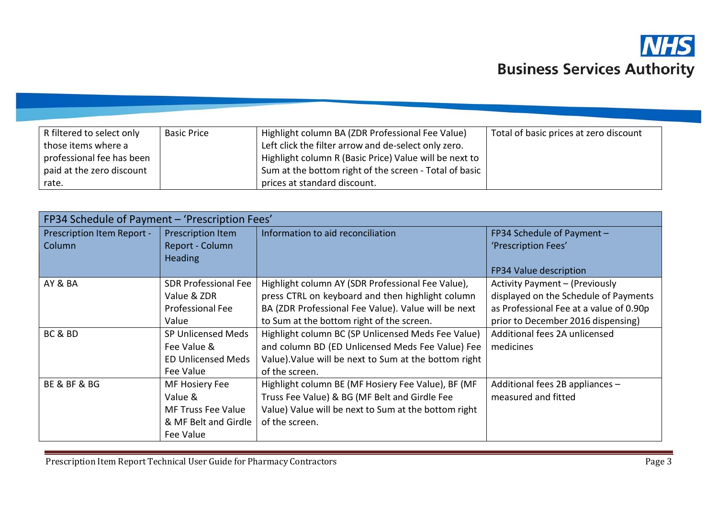

| R filtered to select only | <b>Basic Price</b> | Highlight column BA (ZDR Professional Fee Value)       | Total of basic prices at zero discount |
|---------------------------|--------------------|--------------------------------------------------------|----------------------------------------|
| those items where a       |                    | Left click the filter arrow and de-select only zero.   |                                        |
| professional fee has been |                    | Highlight column R (Basic Price) Value will be next to |                                        |
| paid at the zero discount |                    | Sum at the bottom right of the screen - Total of basic |                                        |
| rate.                     |                    | prices at standard discount.                           |                                        |

| FP34 Schedule of Payment - 'Prescription Fees' |                             |                                                       |                                         |
|------------------------------------------------|-----------------------------|-------------------------------------------------------|-----------------------------------------|
| Prescription Item Report -                     | Prescription Item           | Information to aid reconciliation                     | FP34 Schedule of Payment -              |
| Column                                         | Report - Column             |                                                       | 'Prescription Fees'                     |
|                                                | <b>Heading</b>              |                                                       |                                         |
|                                                |                             |                                                       | FP34 Value description                  |
| AY & BA                                        | <b>SDR Professional Fee</b> | Highlight column AY (SDR Professional Fee Value),     | Activity Payment - (Previously          |
|                                                | Value & ZDR                 | press CTRL on keyboard and then highlight column      | displayed on the Schedule of Payments   |
|                                                | Professional Fee            | BA (ZDR Professional Fee Value). Value will be next   | as Professional Fee at a value of 0.90p |
|                                                | Value                       | to Sum at the bottom right of the screen.             | prior to December 2016 dispensing)      |
| BC & BD                                        | SP Unlicensed Meds          | Highlight column BC (SP Unlicensed Meds Fee Value)    | Additional fees 2A unlicensed           |
|                                                | Fee Value &                 | and column BD (ED Unlicensed Meds Fee Value) Fee      | medicines                               |
|                                                | <b>ED Unlicensed Meds</b>   | Value). Value will be next to Sum at the bottom right |                                         |
|                                                | Fee Value                   | of the screen.                                        |                                         |
| <b>BE &amp; BF &amp; BG</b>                    | MF Hosiery Fee              | Highlight column BE (MF Hosiery Fee Value), BF (MF    | Additional fees 2B appliances -         |
|                                                | Value &                     | Truss Fee Value) & BG (MF Belt and Girdle Fee         | measured and fitted                     |
|                                                | <b>MF Truss Fee Value</b>   | Value) Value will be next to Sum at the bottom right  |                                         |
|                                                | & MF Belt and Girdle        | of the screen.                                        |                                         |
|                                                | Fee Value                   |                                                       |                                         |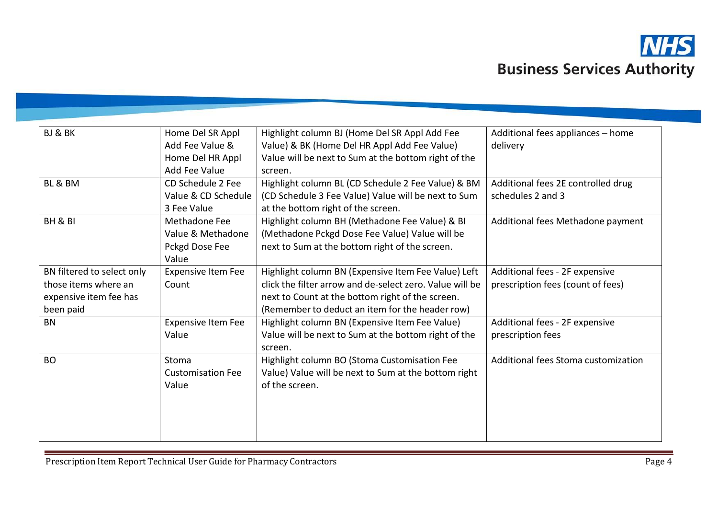

| BJ & BK                    | Home Del SR Appl          | Highlight column BJ (Home Del SR Appl Add Fee            | Additional fees appliances - home   |
|----------------------------|---------------------------|----------------------------------------------------------|-------------------------------------|
|                            | Add Fee Value &           | Value) & BK (Home Del HR Appl Add Fee Value)             | delivery                            |
|                            | Home Del HR Appl          | Value will be next to Sum at the bottom right of the     |                                     |
|                            | Add Fee Value             | screen.                                                  |                                     |
| BL & BM                    | CD Schedule 2 Fee         | Highlight column BL (CD Schedule 2 Fee Value) & BM       | Additional fees 2E controlled drug  |
|                            | Value & CD Schedule       | (CD Schedule 3 Fee Value) Value will be next to Sum      | schedules 2 and 3                   |
|                            | 3 Fee Value               | at the bottom right of the screen.                       |                                     |
| BH & BI                    | Methadone Fee             | Highlight column BH (Methadone Fee Value) & BI           | Additional fees Methadone payment   |
|                            | Value & Methadone         | (Methadone Pckgd Dose Fee Value) Value will be           |                                     |
|                            | Pckgd Dose Fee            | next to Sum at the bottom right of the screen.           |                                     |
|                            | Value                     |                                                          |                                     |
| BN filtered to select only | <b>Expensive Item Fee</b> | Highlight column BN (Expensive Item Fee Value) Left      | Additional fees - 2F expensive      |
| those items where an       | Count                     | click the filter arrow and de-select zero. Value will be | prescription fees (count of fees)   |
| expensive item fee has     |                           | next to Count at the bottom right of the screen.         |                                     |
| been paid                  |                           | (Remember to deduct an item for the header row)          |                                     |
| <b>BN</b>                  | <b>Expensive Item Fee</b> | Highlight column BN (Expensive Item Fee Value)           | Additional fees - 2F expensive      |
|                            | Value                     | Value will be next to Sum at the bottom right of the     | prescription fees                   |
|                            |                           | screen.                                                  |                                     |
| <b>BO</b>                  | Stoma                     | Highlight column BO (Stoma Customisation Fee             | Additional fees Stoma customization |
|                            | <b>Customisation Fee</b>  | Value) Value will be next to Sum at the bottom right     |                                     |
|                            | Value                     | of the screen.                                           |                                     |
|                            |                           |                                                          |                                     |
|                            |                           |                                                          |                                     |
|                            |                           |                                                          |                                     |
|                            |                           |                                                          |                                     |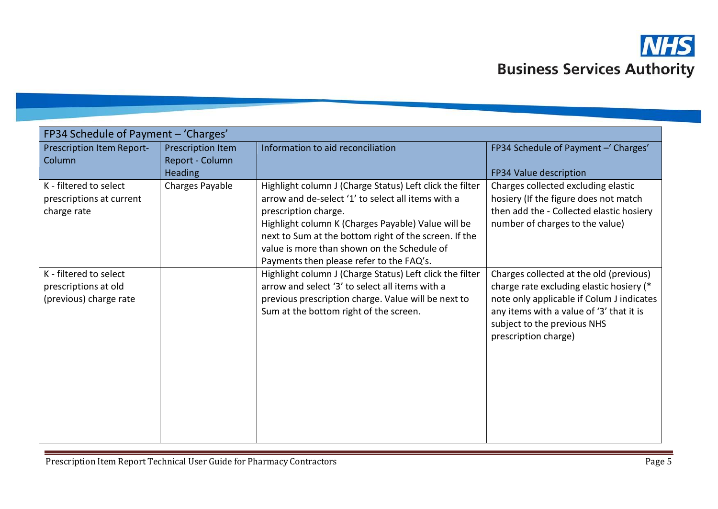

| FP34 Schedule of Payment - 'Charges'                                     |                                                        |                                                                                                                                                                                                                                                                                                                                                  |                                                                                                                                                                                                                                     |
|--------------------------------------------------------------------------|--------------------------------------------------------|--------------------------------------------------------------------------------------------------------------------------------------------------------------------------------------------------------------------------------------------------------------------------------------------------------------------------------------------------|-------------------------------------------------------------------------------------------------------------------------------------------------------------------------------------------------------------------------------------|
| Prescription Item Report-<br>Column                                      | Prescription Item<br>Report - Column<br><b>Heading</b> | Information to aid reconciliation                                                                                                                                                                                                                                                                                                                | FP34 Schedule of Payment - 'Charges'<br>FP34 Value description                                                                                                                                                                      |
| K - filtered to select<br>prescriptions at current<br>charge rate        | Charges Payable                                        | Highlight column J (Charge Status) Left click the filter<br>arrow and de-select '1' to select all items with a<br>prescription charge.<br>Highlight column K (Charges Payable) Value will be<br>next to Sum at the bottom right of the screen. If the<br>value is more than shown on the Schedule of<br>Payments then please refer to the FAQ's. | Charges collected excluding elastic<br>hosiery (If the figure does not match<br>then add the - Collected elastic hosiery<br>number of charges to the value)                                                                         |
| K - filtered to select<br>prescriptions at old<br>(previous) charge rate |                                                        | Highlight column J (Charge Status) Left click the filter<br>arrow and select '3' to select all items with a<br>previous prescription charge. Value will be next to<br>Sum at the bottom right of the screen.                                                                                                                                     | Charges collected at the old (previous)<br>charge rate excluding elastic hosiery (*<br>note only applicable if Colum J indicates<br>any items with a value of '3' that it is<br>subject to the previous NHS<br>prescription charge) |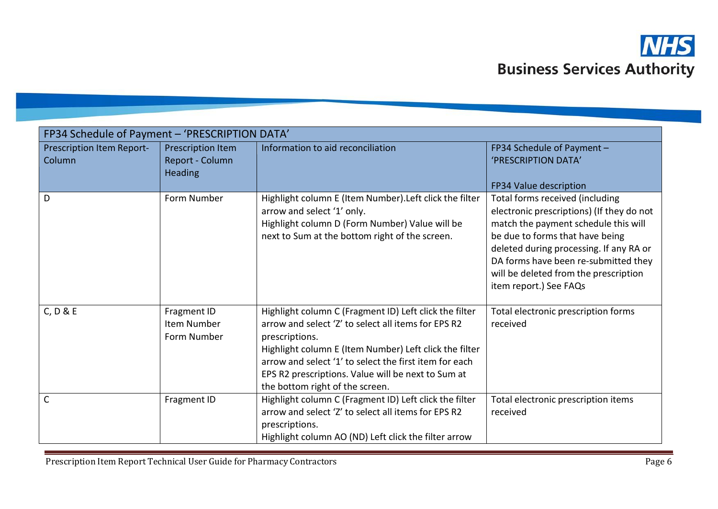

| FP34 Schedule of Payment - 'PRESCRIPTION DATA' |                                                        |                                                                                                                                                                                                                                                                                                                                              |                                                                                                                                                                                                                                                                                                               |
|------------------------------------------------|--------------------------------------------------------|----------------------------------------------------------------------------------------------------------------------------------------------------------------------------------------------------------------------------------------------------------------------------------------------------------------------------------------------|---------------------------------------------------------------------------------------------------------------------------------------------------------------------------------------------------------------------------------------------------------------------------------------------------------------|
| Prescription Item Report-<br>Column            | Prescription Item<br>Report - Column<br><b>Heading</b> | Information to aid reconciliation                                                                                                                                                                                                                                                                                                            | FP34 Schedule of Payment -<br>'PRESCRIPTION DATA'<br>FP34 Value description                                                                                                                                                                                                                                   |
| D                                              | Form Number                                            | Highlight column E (Item Number). Left click the filter<br>arrow and select '1' only.<br>Highlight column D (Form Number) Value will be<br>next to Sum at the bottom right of the screen.                                                                                                                                                    | Total forms received (including<br>electronic prescriptions) (If they do not<br>match the payment schedule this will<br>be due to forms that have being<br>deleted during processing. If any RA or<br>DA forms have been re-submitted they<br>will be deleted from the prescription<br>item report.) See FAQs |
| C, D & E                                       | Fragment ID<br>Item Number<br>Form Number              | Highlight column C (Fragment ID) Left click the filter<br>arrow and select 'Z' to select all items for EPS R2<br>prescriptions.<br>Highlight column E (Item Number) Left click the filter<br>arrow and select '1' to select the first item for each<br>EPS R2 prescriptions. Value will be next to Sum at<br>the bottom right of the screen. | Total electronic prescription forms<br>received                                                                                                                                                                                                                                                               |
| $\mathsf{C}$                                   | Fragment ID                                            | Highlight column C (Fragment ID) Left click the filter<br>arrow and select 'Z' to select all items for EPS R2<br>prescriptions.<br>Highlight column AO (ND) Left click the filter arrow                                                                                                                                                      | Total electronic prescription items<br>received                                                                                                                                                                                                                                                               |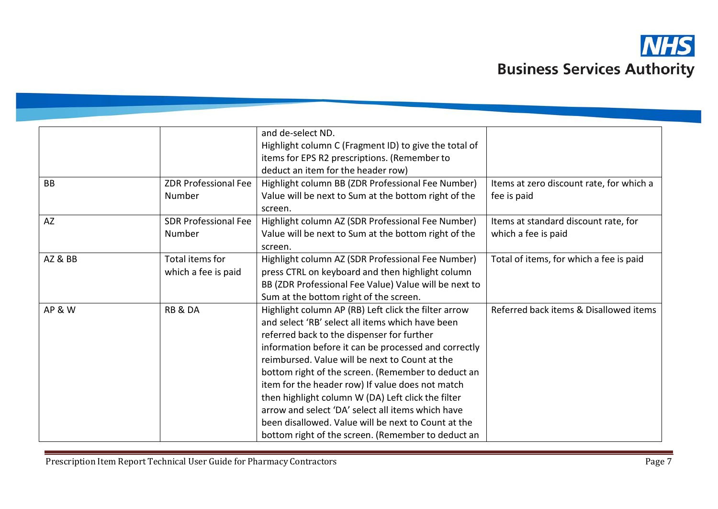

|                   |                             | and de-select ND.                                     |                                          |
|-------------------|-----------------------------|-------------------------------------------------------|------------------------------------------|
|                   |                             | Highlight column C (Fragment ID) to give the total of |                                          |
|                   |                             | items for EPS R2 prescriptions. (Remember to          |                                          |
|                   |                             | deduct an item for the header row)                    |                                          |
| <b>BB</b>         | <b>ZDR Professional Fee</b> | Highlight column BB (ZDR Professional Fee Number)     | Items at zero discount rate, for which a |
|                   | Number                      | Value will be next to Sum at the bottom right of the  | fee is paid                              |
|                   |                             | screen.                                               |                                          |
| AZ                | <b>SDR Professional Fee</b> | Highlight column AZ (SDR Professional Fee Number)     | Items at standard discount rate, for     |
|                   | Number                      | Value will be next to Sum at the bottom right of the  | which a fee is paid                      |
|                   |                             | screen.                                               |                                          |
| AZ&BB             | Total items for             | Highlight column AZ (SDR Professional Fee Number)     | Total of items, for which a fee is paid  |
|                   | which a fee is paid         | press CTRL on keyboard and then highlight column      |                                          |
|                   |                             | BB (ZDR Professional Fee Value) Value will be next to |                                          |
|                   |                             | Sum at the bottom right of the screen.                |                                          |
| <b>AP &amp; W</b> | <b>RB &amp; DA</b>          | Highlight column AP (RB) Left click the filter arrow  | Referred back items & Disallowed items   |
|                   |                             | and select 'RB' select all items which have been      |                                          |
|                   |                             | referred back to the dispenser for further            |                                          |
|                   |                             | information before it can be processed and correctly  |                                          |
|                   |                             | reimbursed. Value will be next to Count at the        |                                          |
|                   |                             | bottom right of the screen. (Remember to deduct an    |                                          |
|                   |                             | item for the header row) If value does not match      |                                          |
|                   |                             | then highlight column W (DA) Left click the filter    |                                          |
|                   |                             | arrow and select 'DA' select all items which have     |                                          |
|                   |                             | been disallowed. Value will be next to Count at the   |                                          |
|                   |                             | bottom right of the screen. (Remember to deduct an    |                                          |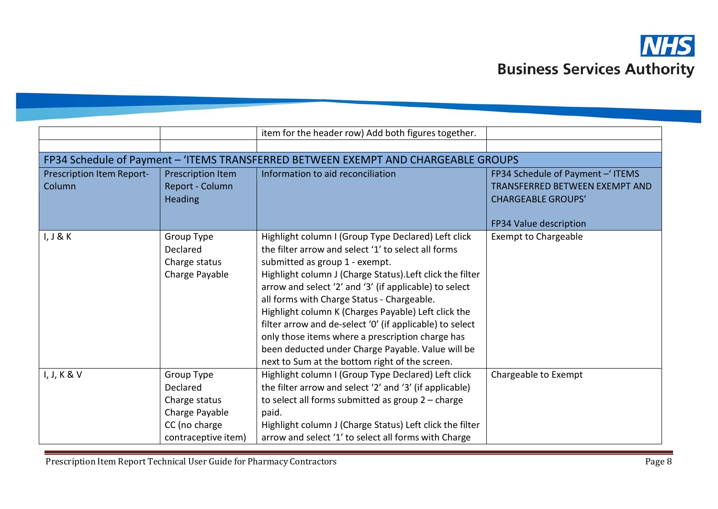

|                                     |                                                                                                   | item for the header row) Add both figures together.                                                                                                                                                                                                                                                                                                                                                                                                                                                                                                                                             |                                                                                                                                  |
|-------------------------------------|---------------------------------------------------------------------------------------------------|-------------------------------------------------------------------------------------------------------------------------------------------------------------------------------------------------------------------------------------------------------------------------------------------------------------------------------------------------------------------------------------------------------------------------------------------------------------------------------------------------------------------------------------------------------------------------------------------------|----------------------------------------------------------------------------------------------------------------------------------|
|                                     |                                                                                                   |                                                                                                                                                                                                                                                                                                                                                                                                                                                                                                                                                                                                 |                                                                                                                                  |
|                                     |                                                                                                   | FP34 Schedule of Payment - 'ITEMS TRANSFERRED BETWEEN EXEMPT AND CHARGEABLE GROUPS                                                                                                                                                                                                                                                                                                                                                                                                                                                                                                              |                                                                                                                                  |
| Prescription Item Report-<br>Column | Prescription Item<br>Report - Column<br><b>Heading</b>                                            | Information to aid reconciliation                                                                                                                                                                                                                                                                                                                                                                                                                                                                                                                                                               | FP34 Schedule of Payment - ITEMS<br><b>TRANSFERRED BETWEEN EXEMPT AND</b><br><b>CHARGEABLE GROUPS'</b><br>FP34 Value description |
| I, J & K                            | Group Type<br>Declared<br>Charge status<br>Charge Payable                                         | Highlight column I (Group Type Declared) Left click<br>the filter arrow and select '1' to select all forms<br>submitted as group 1 - exempt.<br>Highlight column J (Charge Status). Left click the filter<br>arrow and select '2' and '3' (if applicable) to select<br>all forms with Charge Status - Chargeable.<br>Highlight column K (Charges Payable) Left click the<br>filter arrow and de-select '0' (if applicable) to select<br>only those items where a prescription charge has<br>been deducted under Charge Payable. Value will be<br>next to Sum at the bottom right of the screen. | <b>Exempt to Chargeable</b>                                                                                                      |
| I, J, K & V                         | Group Type<br>Declared<br>Charge status<br>Charge Payable<br>CC (no charge<br>contraceptive item) | Highlight column I (Group Type Declared) Left click<br>the filter arrow and select '2' and '3' (if applicable)<br>to select all forms submitted as group $2$ – charge<br>paid.<br>Highlight column J (Charge Status) Left click the filter<br>arrow and select '1' to select all forms with Charge                                                                                                                                                                                                                                                                                              | Chargeable to Exempt                                                                                                             |

Prescription Item Report Technical User Guide for Pharmacy Contractors **Page 8** Page 8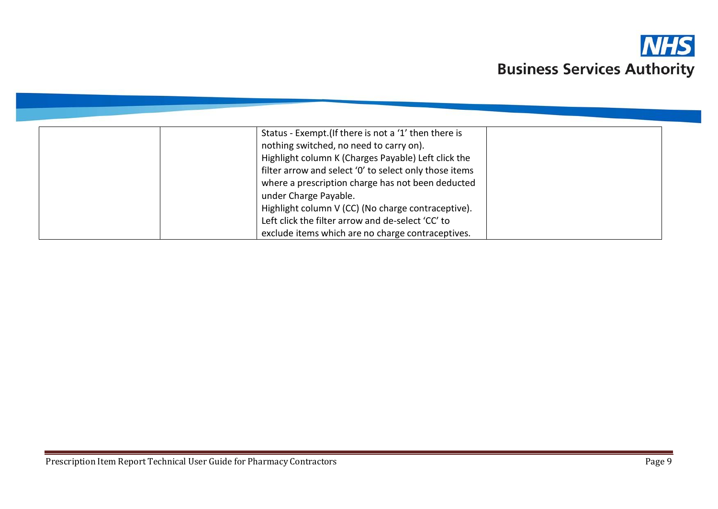

| Status - Exempt. (If there is not a '1' then there is  |  |
|--------------------------------------------------------|--|
| nothing switched, no need to carry on).                |  |
| Highlight column K (Charges Payable) Left click the    |  |
| filter arrow and select '0' to select only those items |  |
| where a prescription charge has not been deducted      |  |
| under Charge Payable.                                  |  |
| Highlight column V (CC) (No charge contraceptive).     |  |
| Left click the filter arrow and de-select 'CC' to      |  |
| exclude items which are no charge contraceptives.      |  |